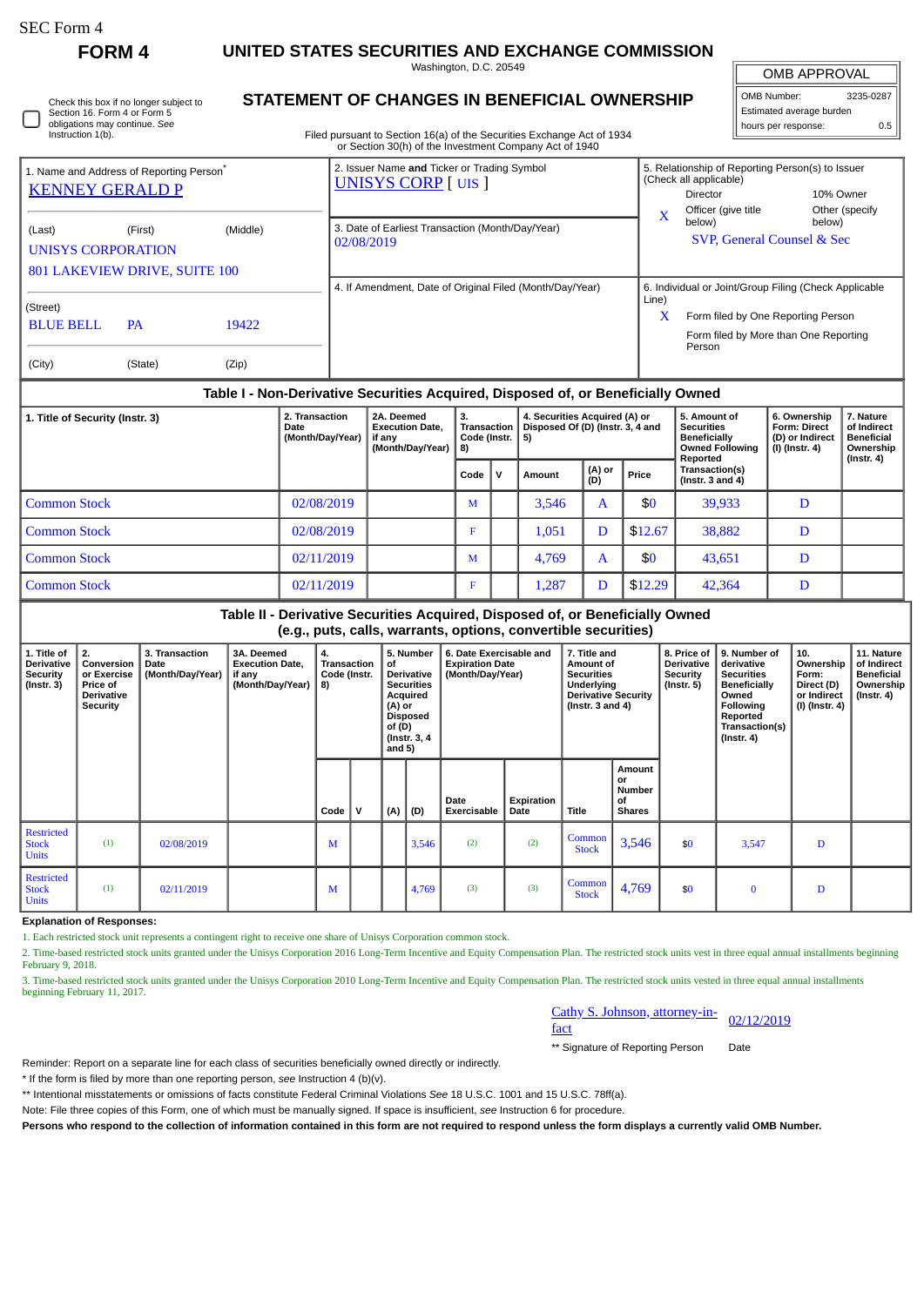П

**FORM 4 UNITED STATES SECURITIES AND EXCHANGE COMMISSION**

Washington, D.C. 20549

| Check this box if no longer subject to |  |
|----------------------------------------|--|
| Section 16. Form 4 or Form 5           |  |
| obligations may continue. See          |  |
| Instruction 1(b).                      |  |

## **STATEMENT OF CHANGES IN BENEFICIAL OWNERSHIP**

Filed pursuant to Section 16(a) of the Securities Exchange Act of 1934 or Section 30(h) of the Investment Company Act of 1940

OMB APPROVAL OMB Number: 3235-0287 Estimated average burden hours per response: 0.5

| 1. Name and Address of Reporting Person <sup>®</sup><br><b>KENNEY GERALD P</b> |                                                                                   |                | 2. Issuer Name and Ticker or Trading Symbol<br><b>UNISYS CORP</b> [UIS ] | 5. Relationship of Reporting Person(s) to Issuer<br>(Check all applicable)<br>10% Owner<br>Director                                                          |
|--------------------------------------------------------------------------------|-----------------------------------------------------------------------------------|----------------|--------------------------------------------------------------------------|--------------------------------------------------------------------------------------------------------------------------------------------------------------|
| (Last)                                                                         | (Middle)<br>(First)<br><b>UNISYS CORPORATION</b><br>801 LAKEVIEW DRIVE, SUITE 100 |                | 3. Date of Earliest Transaction (Month/Day/Year)<br>02/08/2019           | Officer (give title<br>Other (specify<br>X<br>below)<br>below)<br>SVP, General Counsel & Sec                                                                 |
| (Street)<br><b>BLUE BELL</b><br>(City)                                         | <b>PA</b><br>(State)                                                              | 19422<br>(Zip) | 4. If Amendment, Date of Original Filed (Month/Day/Year)                 | 6. Individual or Joint/Group Filing (Check Applicable<br>Line)<br>X<br>Form filed by One Reporting Person<br>Form filed by More than One Reporting<br>Person |

## **Table I - Non-Derivative Securities Acquired, Disposed of, or Beneficially Owned**

| 1. Title of Security (Instr. 3) | 2. Transaction<br>Date<br>(Month/Day/Year) | 2A. Deemed<br><b>Execution Date.</b><br>if any<br>(Month/Day/Year)   8) | 3.<br>Transaction<br>Code (Instr. $\vert 5 \rangle$ |       | 4. Securities Acquired (A) or<br>Disposed Of (D) (Instr. 3, 4 and |   | 5. Amount of<br><b>Securities</b><br><b>Beneficially</b><br><b>Owned Following</b><br>Reported | 6. Ownership<br><b>Form: Direct</b><br>(D) or Indirect<br>(I) (Instr. 4) | 7. Nature<br>of Indirect<br><b>Beneficial</b><br>Ownership<br>(Instr. 4) |  |
|---------------------------------|--------------------------------------------|-------------------------------------------------------------------------|-----------------------------------------------------|-------|-------------------------------------------------------------------|---|------------------------------------------------------------------------------------------------|--------------------------------------------------------------------------|--------------------------------------------------------------------------|--|
|                                 | Code $\mathsf{V}$<br>Amount                |                                                                         | (A) or<br>(D)                                       | Price | Transaction(s)<br>( $Instr. 3 and 4$ )                            |   |                                                                                                |                                                                          |                                                                          |  |
| <b>Common Stock</b>             | 02/08/2019                                 |                                                                         | M                                                   |       | 3.546                                                             | A | \$0                                                                                            | 39,933                                                                   |                                                                          |  |
| <b>Common Stock</b>             | 02/08/2019                                 |                                                                         |                                                     |       | 1,051                                                             | D | \$12.67                                                                                        | 38,882                                                                   |                                                                          |  |
| <b>Common Stock</b>             | 02/11/2019                                 |                                                                         | M                                                   |       | 4.769                                                             | A | \$0                                                                                            | 43,651                                                                   |                                                                          |  |
| <b>Common Stock</b>             | 02/11/2019                                 |                                                                         | F                                                   |       | 1,287                                                             |   | \$12.29                                                                                        | 42,364                                                                   | D                                                                        |  |

## **Table II - Derivative Securities Acquired, Disposed of, or Beneficially Owned (e.g., puts, calls, warrants, options, convertible securities)**

| 1. Title of<br><b>Derivative</b><br>Security<br>(Instr. 3) | 2.<br>Conversion<br>or Exercise<br><b>Price of</b><br><b>Derivative</b><br><b>Security</b> | 3. Transaction<br><b>Date</b><br>(Month/Day/Year) | 3A. Deemed<br><b>Execution Date,</b><br>if any<br>(Month/Day/Year) | 4.<br>Transaction<br>Code (Instr.<br>8) |             | of<br>(A) or<br>of(D)<br>and $5)$ | 5. Number<br><b>Derivative</b><br><b>Securities</b><br>Acquired<br>Disposed<br>(Instr. 3, 4) | 7. Title and<br>6. Date Exercisable and<br><b>Expiration Date</b><br>Amount of<br><b>Securities</b><br>(Month/Day/Year)<br>Underlying<br><b>Derivative Security</b><br>(Instr. $3$ and $4$ ) |                    | 8. Price of<br><b>Derivative</b><br>Security<br>$($ Instr. 5 $)$ | 9. Number of<br>derivative<br><b>Securities</b><br><b>Beneficially</b><br>Owned<br><b>Following</b><br>Reported<br>Transaction(s)<br>$($ Instr. 4 $)$ | 10.<br>Ownership<br>Form:<br>Direct (D)<br>or Indirect<br>(I) (Instr. 4) | 11. Nature<br>of Indirect<br><b>Beneficial</b><br>Ownership<br>$($ lnstr. 4 $)$ |   |  |
|------------------------------------------------------------|--------------------------------------------------------------------------------------------|---------------------------------------------------|--------------------------------------------------------------------|-----------------------------------------|-------------|-----------------------------------|----------------------------------------------------------------------------------------------|----------------------------------------------------------------------------------------------------------------------------------------------------------------------------------------------|--------------------|------------------------------------------------------------------|-------------------------------------------------------------------------------------------------------------------------------------------------------|--------------------------------------------------------------------------|---------------------------------------------------------------------------------|---|--|
|                                                            |                                                                                            |                                                   |                                                                    | Code                                    | $\mathbf v$ | (A)                               | (D)                                                                                          | Date<br>Exercisable                                                                                                                                                                          | Expiration<br>Date | <b>Title</b>                                                     | Amount<br>or<br><b>Number</b><br>οf<br><b>Shares</b>                                                                                                  |                                                                          |                                                                                 |   |  |
| <b>Restricted</b><br><b>Stock</b><br><b>Units</b>          | (1)                                                                                        | 02/08/2019                                        |                                                                    | M                                       |             |                                   | 3,546                                                                                        | (2)                                                                                                                                                                                          | (2)                | Common<br><b>Stock</b>                                           | 3,546                                                                                                                                                 | \$0                                                                      | 3,547                                                                           | D |  |
| <b>Restricted</b><br><b>Stock</b><br><b>Units</b>          | (1)                                                                                        | 02/11/2019                                        |                                                                    | M                                       |             |                                   | 4,769                                                                                        | (3)                                                                                                                                                                                          | (3)                | Common<br><b>Stock</b>                                           | 4,769                                                                                                                                                 | \$0                                                                      | $\bf{0}$                                                                        | D |  |

**Explanation of Responses:**

1. Each restricted stock unit represents a contingent right to receive one share of Unisys Corporation common stock.

2. Time-based restricted stock units granted under the Unisys Corporation 2016 Long-Term Incentive and Equity Compensation Plan. The restricted stock units vest in three equal annual installments beginning February 9, 2018.

3. Time-based restricted stock units granted under the Unisys Corporation 2010 Long-Term Incentive and Equity Compensation Plan. The restricted stock units vested in three equal annual installments beginning February 11, 2017.

| Cathy S. Johnson, attorney-in- |            |
|--------------------------------|------------|
| fact                           | 02/12/2019 |

\*\* Signature of Reporting Person Date

Reminder: Report on a separate line for each class of securities beneficially owned directly or indirectly.

\* If the form is filed by more than one reporting person, *see* Instruction 4 (b)(v).

\*\* Intentional misstatements or omissions of facts constitute Federal Criminal Violations *See* 18 U.S.C. 1001 and 15 U.S.C. 78ff(a).

Note: File three copies of this Form, one of which must be manually signed. If space is insufficient, *see* Instruction 6 for procedure.

**Persons who respond to the collection of information contained in this form are not required to respond unless the form displays a currently valid OMB Number.**